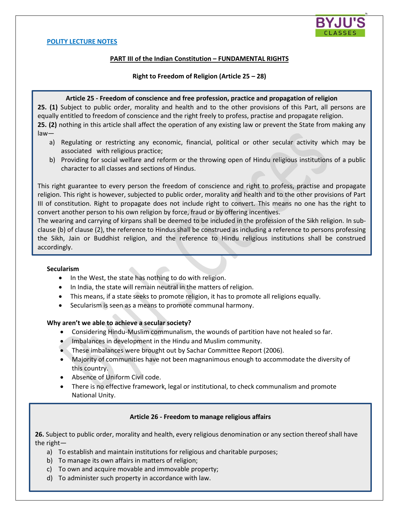

### **PART III of the Indian Constitution – FUNDAMENTAL RIGHTS**

### **Right to Freedom of Religion (Article 25 – 28)**

#### **Article 25 - Freedom of conscience and free profession, practice and propagation of religion**

**25. (1)** Subject to public order, morality and health and to the other provisions of this Part, all persons are equally entitled to freedom of conscience and the right freely to profess, practise and propagate religion. **25. (2)** nothing in this article shall affect the operation of any existing law or prevent the State from making any

- law
	- a) Regulating or restricting any economic, financial, political or other secular activity which may be associated with religious practice;
	- b) Providing for social welfare and reform or the throwing open of Hindu religious institutions of a public character to all classes and sections of Hindus.

This right guarantee to every person the freedom of conscience and right to profess, practise and propagate religion. This right is however, subjected to public order, morality and health and to the other provisions of Part III of constitution. Right to propagate does not include right to convert. This means no one has the right to convert another person to his own religion by force, fraud or by offering incentives.

The wearing and carrying of kirpans shall be deemed to be included in the profession of the Sikh religion. In subclause (b) of clause (2), the reference to Hindus shall be construed as including a reference to persons professing the Sikh, Jain or Buddhist religion, and the reference to Hindu religious institutions shall be construed accordingly.

### **Secularism**

- In the West, the state has nothing to do with religion.
- In India, the state will remain neutral in the matters of religion.
- This means, if a state seeks to promote religion, it has to promote all religions equally.
- Secularism is seen as a means to promote communal harmony.

### **Why aren't we able to achieve a secular society?**

- Considering Hindu-Muslim communalism, the wounds of partition have not healed so far.
- Imbalances in development in the Hindu and Muslim community.
- These imbalances were brought out by Sachar Committee Report (2006).
- Majority of communities have not been magnanimous enough to accommodate the diversity of this country.
- Absence of Uniform Civil code.
- There is no effective framework, legal or institutional, to check communalism and promote National Unity.

## **Article 26 - Freedom to manage religious affairs**

**26.** Subject to public order, morality and health, every religious denomination or any section thereof shall have the right—

- a) To establish and maintain institutions for religious and charitable purposes;
- b) To manage its own affairs in matters of religion;
- c) To own and acquire movable and immovable property;
- d) To administer such property in accordance with law.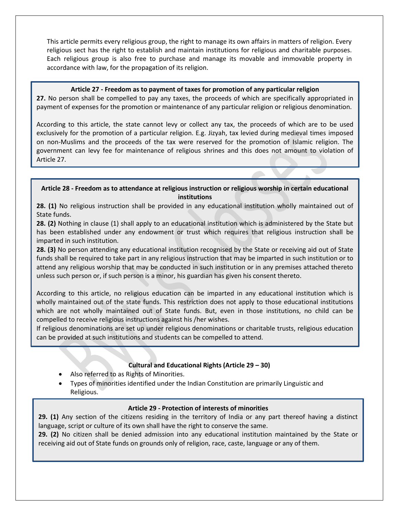This article permits every religious group, the right to manage its own affairs in matters of religion. Every religious sect has the right to establish and maintain institutions for religious and charitable purposes. Each religious group is also free to purchase and manage its movable and immovable property in accordance with law, for the propagation of its religion.

## **Article 27 - Freedom as to payment of taxes for promotion of any particular religion**

 payment of expenses for the promotion or maintenance of any particular religion or religious denomination. **27.** No person shall be compelled to pay any taxes, the proceeds of which are specifically appropriated in

According to this article, the state cannot levy or collect any tax, the proceeds of which are to be used exclusively for the promotion of a particular religion. E.g. Jizyah, tax levied during medieval times imposed on non-Muslims and the proceeds of the tax were reserved for the promotion of Islamic religion. The government can levy fee for maintenance of religious shrines and this does not amount to violation of Article 27.

### ֺ֝֬֕ **Article 28 - Freedom as to attendance at religious instruction or religious worship in certain educational institutions**

**28. (1)** No religious instruction shall be provided in any educational institution wholly maintained out of State funds.

**28. (2)** Nothing in clause (1) shall apply to an educational institution which is administered by the State but has been established under any endowment or trust which requires that religious instruction shall be imparted in such institution.

**28. (3)** No person attending any educational institution recognised by the State or receiving aid out of State funds shall be required to take part in any religious instruction that may be imparted in such institution or to attend any religious worship that may be conducted in such institution or in any premises attached thereto unless such person or, if such person is a minor, his guardian has given his consent thereto.

According to this article, no religious education can be imparted in any educational institution which is wholly maintained out of the state funds. This restriction does not apply to those educational institutions which are not wholly maintained out of State funds. But, even in those institutions, no child can be compelled to receive religious instructions against his /her wishes.

If religious denominations are set up under religious denominations or charitable trusts, religious education can be provided at such institutions and students can be compelled to attend.

# **Cultural and Educational Rights (Article 29 – 30)**

Also referred to as Rights of Minorities.

Ī

 Types of minorities identified under the Indian Constitution are primarily Linguistic and Religious.

## **Article 29 - Protection of interests of minorities**

**29. (1)** Any section of the citizens residing in the territory of India or any part thereof having a distinct language, script or culture of its own shall have the right to conserve the same.

**29. (2)** No citizen shall be denied admission into any educational institution maintained by the State or receiving aid out of State funds on grounds only of religion, race, caste, language or any of them.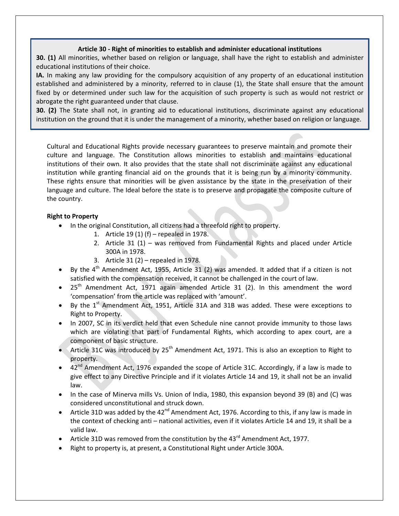## **Article 30 - Right of minorities to establish and administer educational institutions**

**30. (1)** All minorities, whether based on religion or language, shall have the right to establish and administer educational institutions of their choice.

**IA.** In making any law providing for the compulsory acquisition of any property of an educational institution established and administered by a minority, referred to in clause (1), the State shall ensure that the amount fixed by or determined under such law for the acquisition of such property is such as would not restrict or abrogate the right guaranteed under that clause.

**30. (2)** The State shall not, in granting aid to educational institutions, discriminate against any educational institution on the ground that it is under the management of a minority, whether based on religion or language.

Cultural and Educational Rights provide necessary guarantees to preserve maintain and promote their culture and language. The Constitution allows minorities to establish and maintains educational institutions of their own. It also provides that the state shall not discriminate against any educational institution while granting financial aid on the grounds that it is being run by a minority community. These rights ensure that minorities will be given assistance by the state in the preservation of their language and culture. The Ideal before the state is to preserve and propagate the composite culture of the country.

## **Right to Property**

- In the original Constitution, all citizens had a threefold right to property.
	- 1. Article 19 (1) (f) repealed in 1978.
	- 2. Article 31 (1) was removed from Fundamental Rights and placed under Article 300A in 1978.
	- 3. Article 31 (2) repealed in 1978.
- By the  $4<sup>th</sup>$  Amendment Act, 1955, Article 31 (2) was amended. It added that if a citizen is not satisfied with the compensation received, it cannot be challenged in the court of law.
- $25<sup>th</sup>$  Amendment Act, 1971 again amended Article 31 (2). In this amendment the word 'compensation' from the article was replaced with 'amount'.
- By the  $1^{st}$  Amendment Act, 1951, Article 31A and 31B was added. These were exceptions to Right to Property.
- In 2007, SC in its verdict held that even Schedule nine cannot provide immunity to those laws which are violating that part of Fundamental Rights, which according to apex court, are a component of basic structure.
- Article 31C was introduced by 25<sup>th</sup> Amendment Act, 1971. This is also an exception to Right to property.
- $\bullet$  42<sup>nd</sup> Amendment Act, 1976 expanded the scope of Article 31C. Accordingly, if a law is made to give effect to any Directive Principle and if it violates Article 14 and 19, it shall not be an invalid law.
- In the case of Minerva mills Vs. Union of India, 1980, this expansion beyond 39 (B) and (C) was considered unconstitutional and struck down.
- Article 31D was added by the  $42^{nd}$  Amendment Act, 1976. According to this, if any law is made in the context of checking anti – national activities, even if it violates Article 14 and 19, it shall be a valid law.
- Article 31D was removed from the constitution by the 43 $^{rd}$  Amendment Act, 1977.
- Right to property is, at present, a Constitutional Right under Article 300A.